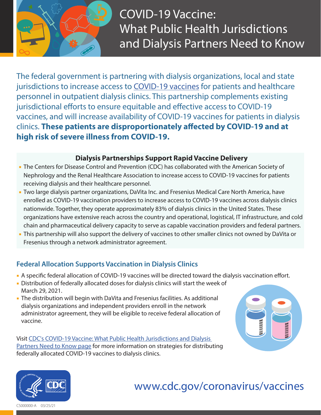

COVID-19 Vaccine: What Public Health Jurisdictions and Dialysis Partners Need to Know

The federal government is partnering with dialysis organizations, local and state jurisdictions to increase access to [COVID-19 vaccines](https://www.cdc.gov/vaccines/covid-19/index.html) for patients and healthcare personnel in outpatient dialysis clinics. This partnership complements existing jurisdictional efforts to ensure equitable and effective access to COVID-19 vaccines, and will increase availability of COVID-19 vaccines for patients in dialysis clinics. **These patients are disproportionately affected by COVID-19 and at high risk of severe illness from COVID-19.**

## **Dialysis Partnerships Support Rapid Vaccine Delivery**

- The Centers for Disease Control and Prevention (CDC) has collaborated with the American Society of Nephrology and the Renal Healthcare Association to increase access to COVID-19 vaccines for patients receiving dialysis and their healthcare personnel.
- Two large dialysis partner organizations, DaVita Inc. and Fresenius Medical Care North America, have enrolled as COVID-19 vaccination providers to increase access to COVID-19 vaccines across dialysis clinics nationwide. Together, they operate approximately 83% of dialysis clinics in the United States. These organizations have extensive reach across the country and operational, logistical, IT infrastructure, and cold chain and pharmaceutical delivery capacity to serve as capable vaccination providers and federal partners.
- This partnership will also support the delivery of vaccines to other smaller clinics not owned by DaVita or Fresenius through a network administrator agreement.

# **Federal Allocation Supports Vaccination in Dialysis Clinics**

- A specific federal allocation of COVID-19 vaccines will be directed toward the dialysis vaccination effort.
- Distribution of federally allocated doses for dialysis clinics will start the week of March 29, 2021.
- The distribution will begin with DaVita and Fresenius facilities. As additional dialysis organizations and independent providers enroll in the network administrator agreement, they will be eligible to receive federal allocation of vaccine.

Visit [CDC's COVID-19 Vaccine: What Public Health Jurisdictions and Dialysis](https://www.cdc.gov/vaccines/covid-19/planning/dialysis-partners-jurisdictions.html)  [Partners Need to Know page](https://www.cdc.gov/vaccines/covid-19/planning/dialysis-partners-jurisdictions.html) for more information on strategies for distributing federally allocated COVID-19 vaccines to dialysis clinics.





#### www.cdc.gov/coronavirus/vaccines **Health and Human Services**